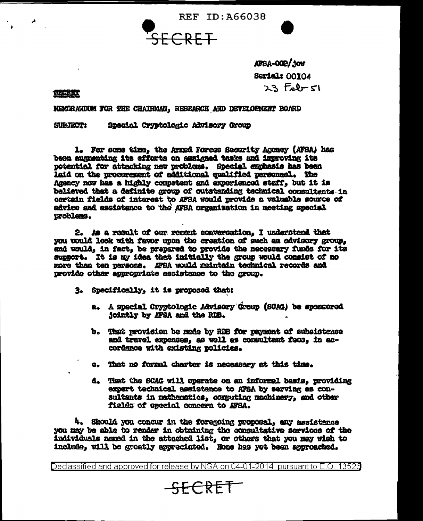**REF ID: A66038** 



AFSA-OOR/JOW **Serial: 00104**  $23$  febr  $51$ 

**OBCRET** 

NEMCRANDUM FOR THE CHAIRMAN, RESRARCH AND DEVELOPMENT BOARD

Special Cryptologic Advisory Group **SUBJECT:** 

1. For some time, the Armed Forces Security Agency (AFSA) has been auguenting its efforts on assigned tasks and improving its potential for attacking new problems. Special emphasis has been laid on the procurement of additional qualified personnel. The Agency now has a highly competent and experienced staff, but it is believed that a definite group of outstanding technical consultants-in certain fields of interest to AFSA would provide a valuable source of advice and assistance to the AFSA organization in meeting special uroblems.

2. As a result of our recent conversation. I understend that you would look with favor upon the creation of such an advisory group. and would, in fact, be prepared to provide the necessary funds for its support. It is my idea that initially the group would consist of no more than ten persons. AFSA would maintain technical records and provide other appropriate assistance to the group.

- 3. Specifically, it is proposed that:
	- a. A special Cryptologic Advisory Group (SCAG) be sponsored jointly by AFSA and the RDB.
	- b. That provision be made by RDB for payment of subsistence and travel expenses, as well as consultant fees, in accordance with existing policies.
	- c. That no formal charter is necessary at this time.
	- d. That the SCAG will operate on an informal basis, providing expert technical assistance to AFSA by serving as consultants in mathematics, computing machinery, and other fields of special concern to AFSA.

4. Should you concur in the foregoing proposal, any assistance you may be able to render in obtaining the consultative services of the individuals named in the attached list, or others that you may wish to include, will be greatly appreciated. None has yet been approached.

Declassified and approved for release by NSA on 04-01-2014 pursuant to E.O. 13526

## SECRET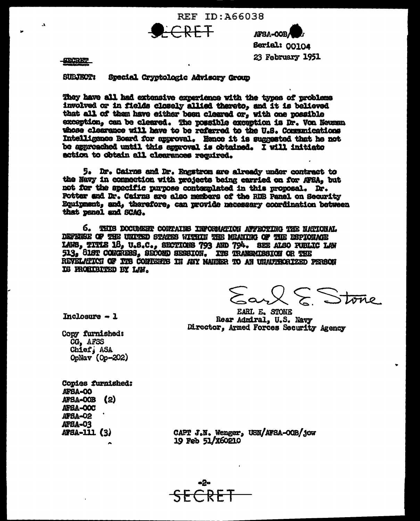REF ID: A66038  $RF$ 

**AFSA-OOB** Serial: 00104

23 February 1951

**SECRET** 

 $\mathbf{A}$ 

**SUBJECT:** Special Crystologic Advisory Group

They have all had extensive experience with the types of problems involved or in fields closely allied thereto, and it is believed that all of them have either been cleared or, with one possible exception, can be cleared. The possible exception is Dr. Von Neuman whose clearance will have to be referred to the U.S. Communications Intelligence Board for approval. Hence it is suggested that he not be approached until this approval is obtained. I will initiate action to obtain all clearances required.

5. Dr. Cairns and Dr. Engstrom are already under contract to the Navy in connection with projects being carried on for AFSA, but not for the specific purpose contemplated in this proposal. Dr. Potter and Dr. Cairns are also members of the RDB Panel on Security Equipment, and, therefore, can provide necessary coordination between that panel and SCAG.

6. THIS DOCUMENT CONTAINS INFORMATION AFFECTING THE NATIONAL DEFENSE OF THE UNITED STATES WITHIN THE MEANING OF THE ESPIONAGE LAWS, TITLE 18, U.S.C., SECTIONS 793 AND 794. SEE ALSO PUBLIC LAW 513, SIST CONGRESS, SECOND SESSION. ITS TRANSMISSION OR THE REVELMIKCI OF ITS CONTENTS IN ANY NAMMER TO AN UNAUTSCRIZED PERSON IS PROGIFICED BY LAW.

Earl E Stone

Inclosure  $-1$ 

**EARL E. STONE** Rear Admiral, U.S. Navy Director, Armed Forces Security Agency

Copy furnished: CG. AFSS Chief, ASA OpNav (Op-202)

Copies furnished: AFBA-00 AFBA-00B (2) AFSA-OOC AFBA-02 AFBA-03 AFSA-111 (3)

CAPT J.N. Wenger, USN/AFSA-OOB/jow 19 Feb 51/X60210

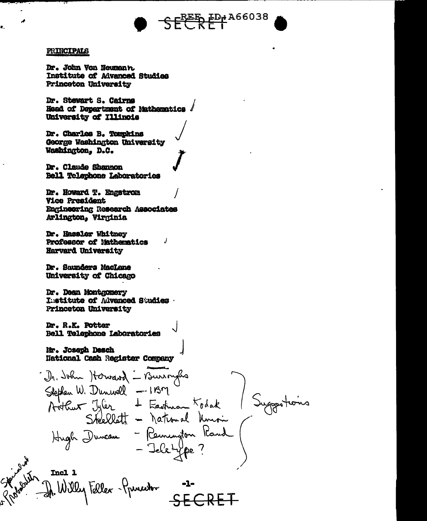

## PRINCIPALS

×.

Dr. John Von Neumann. Institute of Advanced Studies Princeton University

Dr. Stewart S. Cairns Head of Department of Nathematics University of Illinois

Dr. Charles B. Tounkins George Washington University Washington, D.C.

Dr. Claude Shannon Bell Telephone Laboratories

Dr. Howard T. Engstron **Vice President** Engineering Research Associates Arlington, Virginia

Dr. Hassler Whitney Professor of Nathematics Harverd University

Dr. Saunders MacLane University of Chicago

Dr. Dean Montgomery Institute of Advanced Studies Princeton University

Dr. R.K. Potter Bell Telephone Laboratories

Mr. Joseph Desch National Cash Register Company

J

Incl 1 Willy Faller - Grunner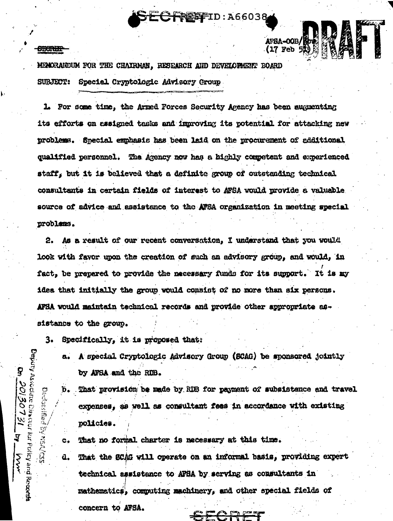**REFFID: A66038** 

AFSA-00B/

## **COURTER**

Fepuly Associate Divenor for Policy and Records

**Darition** 

 $\widetilde{\mathcal{Z}}$ 

 $\frac{1}{2}$ 

 $c_{\ast}$ 

a.

20130731

'<br>|<br>|

 $\frac{1}{2}$ 

MEMORARDUM FOR THE CHAIRMAN, RESEARCH AND DEVELOPMENT BOARD **SUBJECT:** Special Cryptologic Advisory Group

1. For some time, the Armed Forces Security Agency has been augmenting its efforts on assigned tasks and improving its potential for attacking new problems. Special emphasis has been laid on the procurement of additional qualified personnel. The Agency now has a highly competent and experienced staff, but it is believed that a definite group of outstanding technical consultants in certain fields of interest to AFSA would provide a valuable source of advice and assistance to the AFSA organization in meeting special problems.

As a result of our recent conversation. I understand that you would 2. look with favor upon the creation of such an advisory group, and would, in fact, be prepared to provide the necessary funds for its support. It is my idea that initially the group would consist of no more than six persons. AFSA would maintain technical records and provide other appropriate assistance to the group.

 $3.$ Specifically, it is proposed that:

> A special Cryptologic Advisory Group (SCAG) be sponsored jointly  $a<sub>1</sub>$ by AFSA and the RDB.

b. That provision be made by RIE for payment of subsistence and travel expenses, as well as consultant fees in accordance with existing policies.

That no formal charter is necessary at this time. That the SCAG will operate on an informal basis, providing expert technical assistance to AFBA by serving as consultants in mathematics, commuting machinery, and other special fields of concern to AFSA.